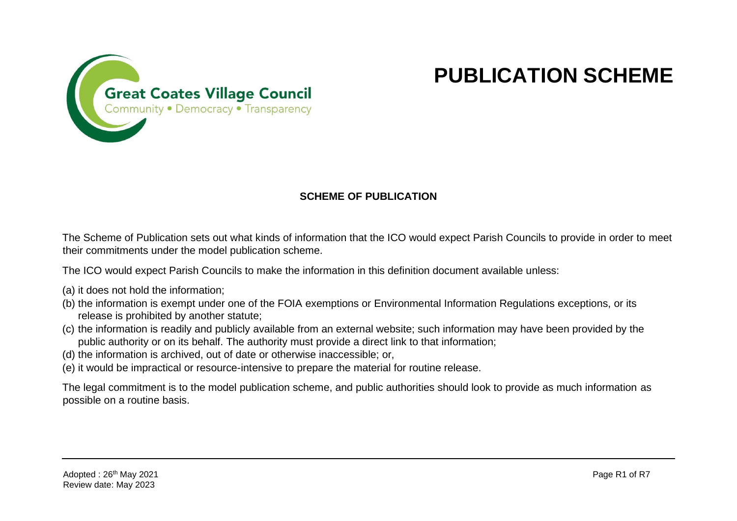

## **PUBLICATION SCHEME**

## **SCHEME OF PUBLICATION**

The Scheme of Publication sets out what kinds of information that the ICO would expect Parish Councils to provide in order to meet their commitments under the model publication scheme.

The ICO would expect Parish Councils to make the information in this definition document available unless:

- (a) it does not hold the information;
- (b) the information is exempt under one of the FOIA exemptions or Environmental Information Regulations exceptions, or its release is prohibited by another statute;
- (c) the information is readily and publicly available from an external website; such information may have been provided by the public authority or on its behalf. The authority must provide a direct link to that information;
- (d) the information is archived, out of date or otherwise inaccessible; or,
- (e) it would be impractical or resource-intensive to prepare the material for routine release.

The legal commitment is to the model publication scheme, and public authorities should look to provide as much information as possible on a routine basis.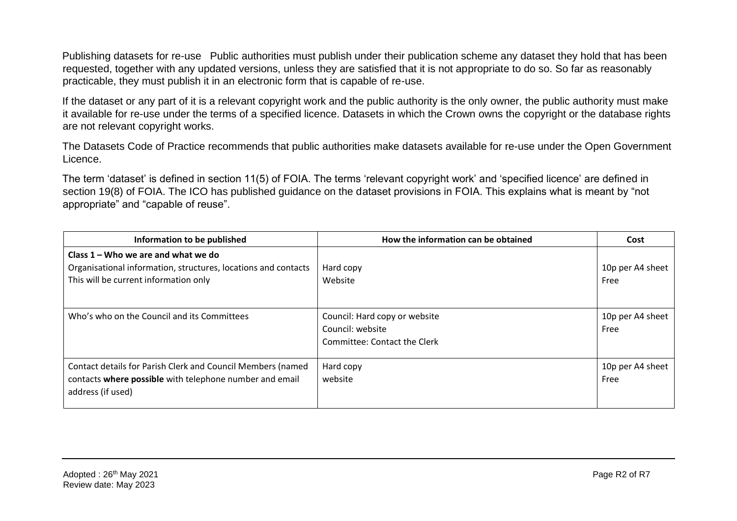Publishing datasets for re-use Public authorities must publish under their publication scheme any dataset they hold that has been requested, together with any updated versions, unless they are satisfied that it is not appropriate to do so. So far as reasonably practicable, they must publish it in an electronic form that is capable of re-use.

If the dataset or any part of it is a relevant copyright work and the public authority is the only owner, the public authority must make it available for re-use under the terms of a specified licence. Datasets in which the Crown owns the copyright or the database rights are not relevant copyright works.

The Datasets Code of Practice recommends that public authorities make datasets available for re-use under the Open Government Licence.

The term 'dataset' is defined in section 11(5) of FOIA. The terms 'relevant copyright work' and 'specified licence' are defined in section 19(8) of FOIA. The ICO has published guidance on the dataset provisions in FOIA. This explains what is meant by "not appropriate" and "capable of reuse".

| Information to be published                                                                                                                      | How the information can be obtained                                               | Cost                     |
|--------------------------------------------------------------------------------------------------------------------------------------------------|-----------------------------------------------------------------------------------|--------------------------|
| Class $1 -$ Who we are and what we do<br>Organisational information, structures, locations and contacts<br>This will be current information only | Hard copy<br>Website                                                              | 10p per A4 sheet<br>Free |
| Who's who on the Council and its Committees                                                                                                      | Council: Hard copy or website<br>Council: website<br>Committee: Contact the Clerk | 10p per A4 sheet<br>Free |
| Contact details for Parish Clerk and Council Members (named<br>contacts where possible with telephone number and email<br>address (if used)      | Hard copy<br>website                                                              | 10p per A4 sheet<br>Free |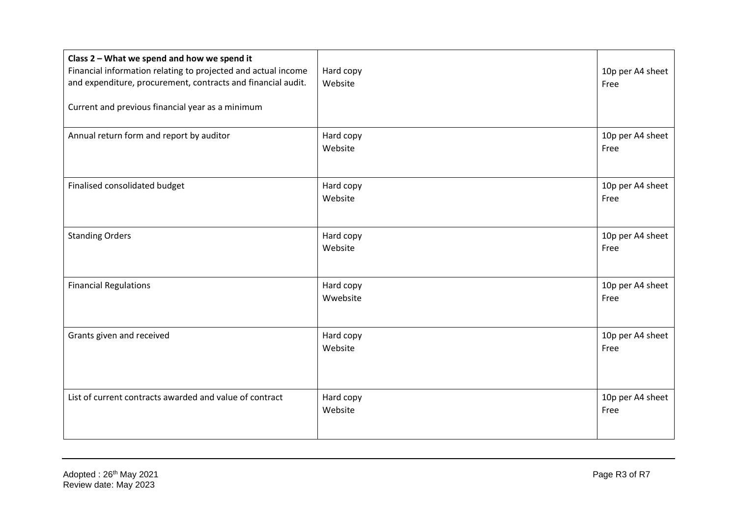| Class 2 - What we spend and how we spend it<br>Financial information relating to projected and actual income<br>and expenditure, procurement, contracts and financial audit.<br>Current and previous financial year as a minimum | Hard copy<br>Website  | 10p per A4 sheet<br>Free |
|----------------------------------------------------------------------------------------------------------------------------------------------------------------------------------------------------------------------------------|-----------------------|--------------------------|
| Annual return form and report by auditor                                                                                                                                                                                         | Hard copy<br>Website  | 10p per A4 sheet<br>Free |
| Finalised consolidated budget                                                                                                                                                                                                    | Hard copy<br>Website  | 10p per A4 sheet<br>Free |
| <b>Standing Orders</b>                                                                                                                                                                                                           | Hard copy<br>Website  | 10p per A4 sheet<br>Free |
| <b>Financial Regulations</b>                                                                                                                                                                                                     | Hard copy<br>Wwebsite | 10p per A4 sheet<br>Free |
| Grants given and received                                                                                                                                                                                                        | Hard copy<br>Website  | 10p per A4 sheet<br>Free |
| List of current contracts awarded and value of contract                                                                                                                                                                          | Hard copy<br>Website  | 10p per A4 sheet<br>Free |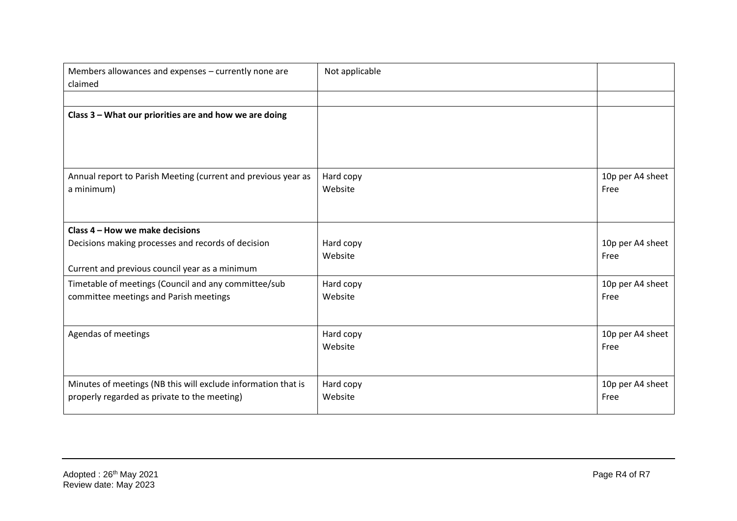| Members allowances and expenses - currently none are<br>claimed                                                                         | Not applicable       |                          |
|-----------------------------------------------------------------------------------------------------------------------------------------|----------------------|--------------------------|
|                                                                                                                                         |                      |                          |
| Class 3 - What our priorities are and how we are doing                                                                                  |                      |                          |
| Annual report to Parish Meeting (current and previous year as<br>a minimum)                                                             | Hard copy<br>Website | 10p per A4 sheet<br>Free |
| Class 4 - How we make decisions<br>Decisions making processes and records of decision<br>Current and previous council year as a minimum | Hard copy<br>Website | 10p per A4 sheet<br>Free |
| Timetable of meetings (Council and any committee/sub<br>committee meetings and Parish meetings                                          | Hard copy<br>Website | 10p per A4 sheet<br>Free |
| Agendas of meetings                                                                                                                     | Hard copy<br>Website | 10p per A4 sheet<br>Free |
| Minutes of meetings (NB this will exclude information that is<br>properly regarded as private to the meeting)                           | Hard copy<br>Website | 10p per A4 sheet<br>Free |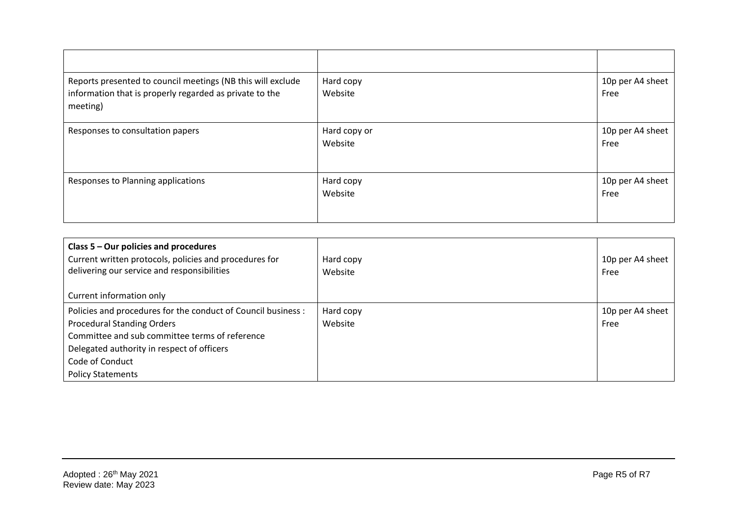| Reports presented to council meetings (NB this will exclude<br>information that is properly regarded as private to the<br>meeting) | Hard copy<br>Website    | 10p per A4 sheet<br>Free |
|------------------------------------------------------------------------------------------------------------------------------------|-------------------------|--------------------------|
| Responses to consultation papers                                                                                                   | Hard copy or<br>Website | 10p per A4 sheet<br>Free |
| Responses to Planning applications                                                                                                 | Hard copy<br>Website    | 10p per A4 sheet<br>Free |

| Class 5 - Our policies and procedures<br>Current written protocols, policies and procedures for<br>delivering our service and responsibilities | Hard copy<br>Website | 10p per A4 sheet<br>Free |
|------------------------------------------------------------------------------------------------------------------------------------------------|----------------------|--------------------------|
| Current information only                                                                                                                       |                      |                          |
| Policies and procedures for the conduct of Council business :                                                                                  | Hard copy            | 10p per A4 sheet         |
| <b>Procedural Standing Orders</b>                                                                                                              | Website              | Free                     |
| Committee and sub committee terms of reference                                                                                                 |                      |                          |
| Delegated authority in respect of officers                                                                                                     |                      |                          |
| Code of Conduct                                                                                                                                |                      |                          |
| <b>Policy Statements</b>                                                                                                                       |                      |                          |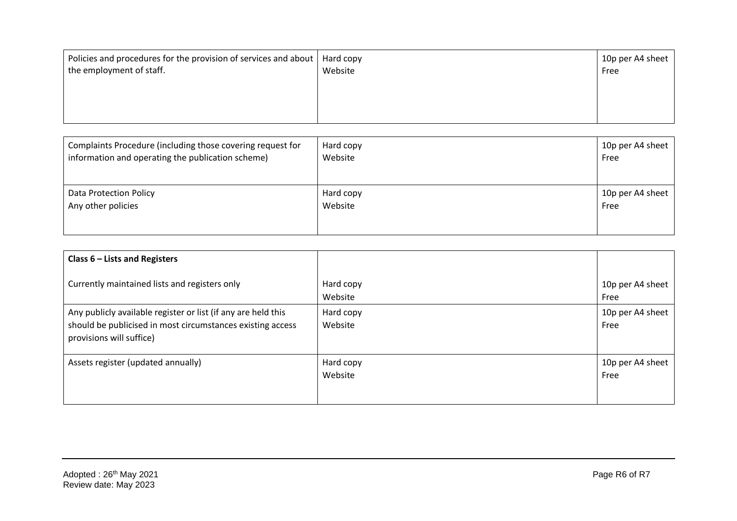| Policies and procedures for the provision of services and about   Hard copy<br>the employment of staff. | Website | 10p per A4 sheet<br>Free |
|---------------------------------------------------------------------------------------------------------|---------|--------------------------|
|                                                                                                         |         |                          |

| Complaints Procedure (including those covering request for | Hard copy | 10p per A4 sheet |
|------------------------------------------------------------|-----------|------------------|
| information and operating the publication scheme)          | Website   | Free             |
| Data Protection Policy                                     | Hard copy | 10p per A4 sheet |
| Any other policies                                         | Website   | Free             |

| Class $6$ – Lists and Registers                                                                                                                         |                      |                          |
|---------------------------------------------------------------------------------------------------------------------------------------------------------|----------------------|--------------------------|
| Currently maintained lists and registers only                                                                                                           | Hard copy<br>Website | 10p per A4 sheet<br>Free |
| Any publicly available register or list (if any are held this<br>should be publicised in most circumstances existing access<br>provisions will suffice) | Hard copy<br>Website | 10p per A4 sheet<br>Free |
| Assets register (updated annually)                                                                                                                      | Hard copy<br>Website | 10p per A4 sheet<br>Free |